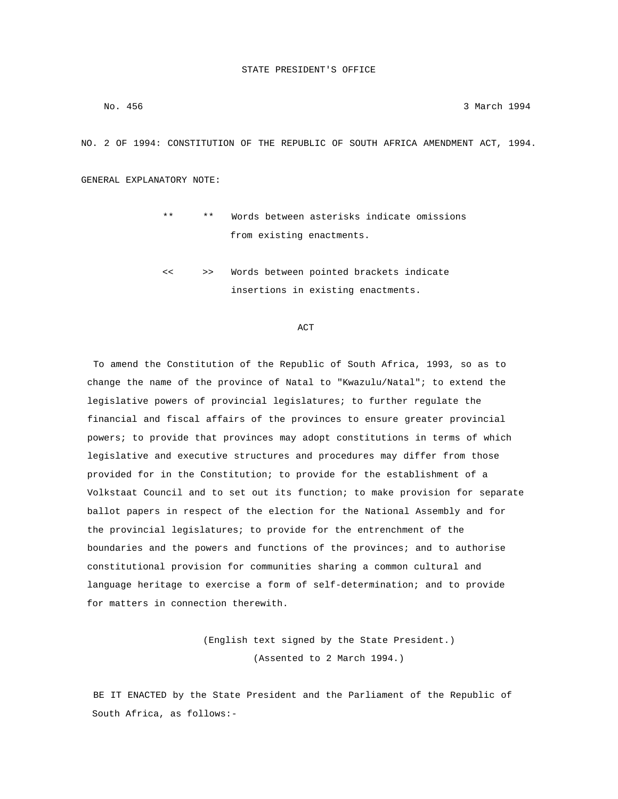No. 456 3 March 1994

NO. 2 OF 1994: CONSTITUTION OF THE REPUBLIC OF SOUTH AFRICA AMENDMENT ACT, 1994.

GENERAL EXPLANATORY NOTE:

- \*\* \*\* Words between asterisks indicate omissions from existing enactments.
- << >> Words between pointed brackets indicate insertions in existing enactments.

### **ACT**

 To amend the Constitution of the Republic of South Africa, 1993, so as to change the name of the province of Natal to "Kwazulu/Natal"; to extend the legislative powers of provincial legislatures; to further regulate the financial and fiscal affairs of the provinces to ensure greater provincial powers; to provide that provinces may adopt constitutions in terms of which legislative and executive structures and procedures may differ from those provided for in the Constitution; to provide for the establishment of a Volkstaat Council and to set out its function; to make provision for separate ballot papers in respect of the election for the National Assembly and for the provincial legislatures; to provide for the entrenchment of the boundaries and the powers and functions of the provinces; and to authorise constitutional provision for communities sharing a common cultural and language heritage to exercise a form of self-determination; and to provide for matters in connection therewith.

> (English text signed by the State President.) (Assented to 2 March 1994.)

 BE IT ENACTED by the State President and the Parliament of the Republic of South Africa, as follows:-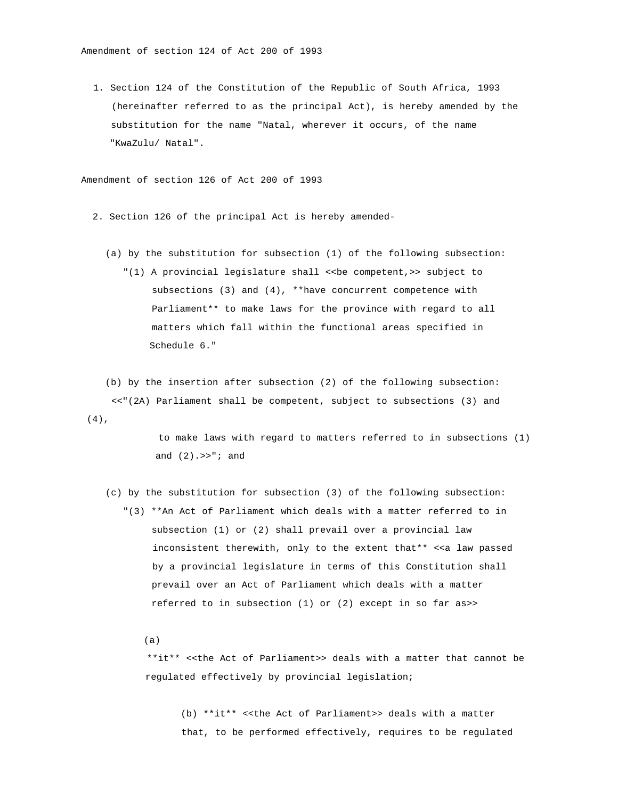Amendment of section 124 of Act 200 of 1993

 1. Section 124 of the Constitution of the Republic of South Africa, 1993 (hereinafter referred to as the principal Act), is hereby amended by the substitution for the name "Natal, wherever it occurs, of the name "KwaZulu/ Natal".

Amendment of section 126 of Act 200 of 1993

- 2. Section 126 of the principal Act is hereby amended-
	- (a) by the substitution for subsection (1) of the following subsection:
		- "(1) A provincial legislature shall <<be competent,>> subject to subsections (3) and (4), \*\*have concurrent competence with Parliament\*\* to make laws for the province with regard to all matters which fall within the functional areas specified in Schedule 6."

 (b) by the insertion after subsection (2) of the following subsection: <<"(2A) Parliament shall be competent, subject to subsections (3) and (4),

> to make laws with regard to matters referred to in subsections (1) and (2).>>"; and

 (c) by the substitution for subsection (3) of the following subsection: "(3) \*\*An Act of Parliament which deals with a matter referred to in subsection (1) or (2) shall prevail over a provincial law inconsistent therewith, only to the extent that\*\* <<a law passed by a provincial legislature in terms of this Constitution shall prevail over an Act of Parliament which deals with a matter referred to in subsection (1) or (2) except in so far as>>

(a)

 \*\*it\*\* <<the Act of Parliament>> deals with a matter that cannot be regulated effectively by provincial legislation;

 (b) \*\*it\*\* <<the Act of Parliament>> deals with a matter that, to be performed effectively, requires to be regulated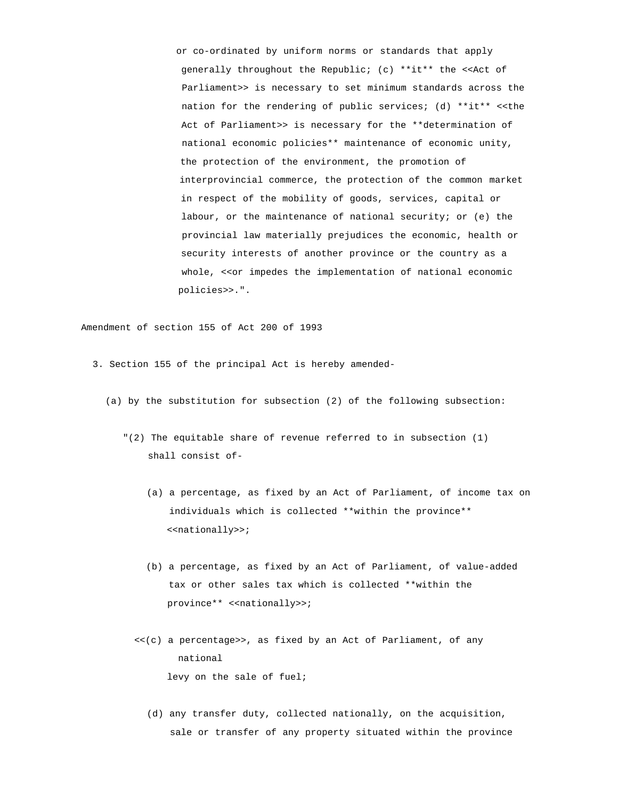or co-ordinated by uniform norms or standards that apply generally throughout the Republic; (c) \*\*it\*\* the <<Act of Parliament>> is necessary to set minimum standards across the nation for the rendering of public services; (d) \*\*it\*\* <<the Act of Parliament>> is necessary for the \*\*determination of national economic policies\*\* maintenance of economic unity, the protection of the environment, the promotion of interprovincial commerce, the protection of the common market in respect of the mobility of goods, services, capital or labour, or the maintenance of national security; or (e) the provincial law materially prejudices the economic, health or security interests of another province or the country as a whole, <<or impedes the implementation of national economic policies>>.".

Amendment of section 155 of Act 200 of 1993

- 3. Section 155 of the principal Act is hereby amended-
	- (a) by the substitution for subsection (2) of the following subsection:
		- "(2) The equitable share of revenue referred to in subsection (1) shall consist of-
			- (a) a percentage, as fixed by an Act of Parliament, of income tax on individuals which is collected \*\*within the province\*\* <<nationally>>;
			- (b) a percentage, as fixed by an Act of Parliament, of value-added tax or other sales tax which is collected \*\*within the province\*\* <<nationally>>;
			- <<(c) a percentage>>, as fixed by an Act of Parliament, of any national levy on the sale of fuel;
				- (d) any transfer duty, collected nationally, on the acquisition, sale or transfer of any property situated within the province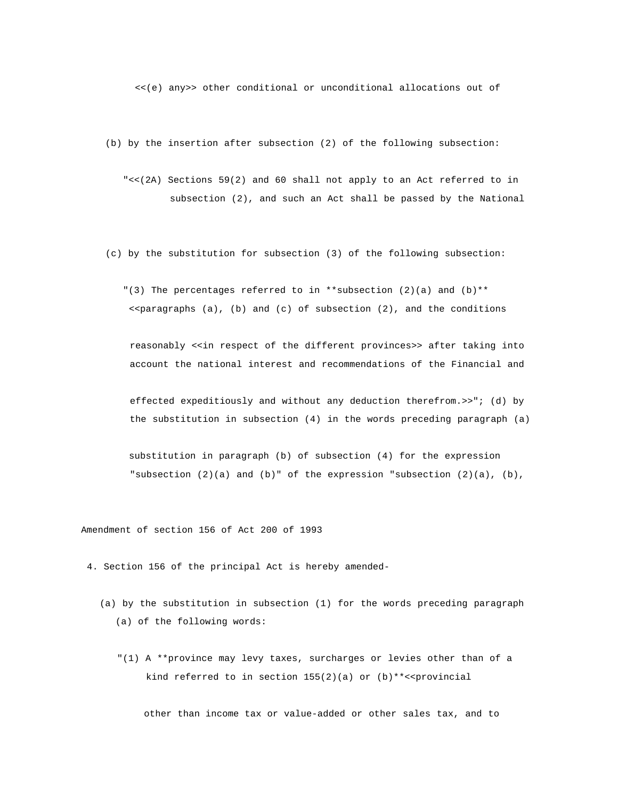<<(e) any>> other conditional or unconditional allocations out of

(b) by the insertion after subsection (2) of the following subsection:

 "<<(2A) Sections 59(2) and 60 shall not apply to an Act referred to in subsection (2), and such an Act shall be passed by the National

(c) by the substitution for subsection (3) of the following subsection:

"(3) The percentages referred to in \*\* subsection (2)(a) and (b)\*\*  $\langle$  < paragraphs (a), (b) and (c) of subsection (2), and the conditions

 reasonably <<in respect of the different provinces>> after taking into account the national interest and recommendations of the Financial and

 effected expeditiously and without any deduction therefrom.>>"; (d) by the substitution in subsection (4) in the words preceding paragraph (a)

 substitution in paragraph (b) of subsection (4) for the expression "subsection  $(2)(a)$  and  $(b)$ " of the expression "subsection  $(2)(a)$ ,  $(b)$ ,

Amendment of section 156 of Act 200 of 1993

4. Section 156 of the principal Act is hereby amended-

- (a) by the substitution in subsection (1) for the words preceding paragraph (a) of the following words:
	- "(1) A \*\*province may levy taxes, surcharges or levies other than of a kind referred to in section  $155(2)(a)$  or  $(b)$ \*\*<<provincial

other than income tax or value-added or other sales tax, and to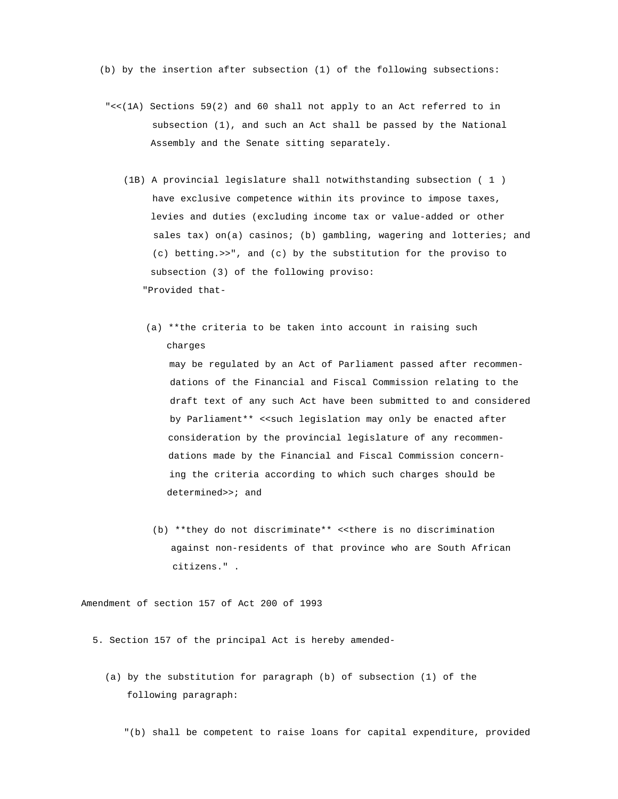(b) by the insertion after subsection (1) of the following subsections:

- "<<(1A) Sections 59(2) and 60 shall not apply to an Act referred to in subsection (1), and such an Act shall be passed by the National Assembly and the Senate sitting separately.
	- (1B) A provincial legislature shall notwithstanding subsection ( 1 ) have exclusive competence within its province to impose taxes, levies and duties (excluding income tax or value-added or other sales tax) on(a) casinos; (b) gambling, wagering and lotteries; and (c) betting.>>", and (c) by the substitution for the proviso to subsection (3) of the following proviso: "Provided that-
		- (a) \*\*the criteria to be taken into account in raising such charges may be regulated by an Act of Parliament passed after recommen dations of the Financial and Fiscal Commission relating to the draft text of any such Act have been submitted to and considered by Parliament\*\* <<such legislation may only be enacted after consideration by the provincial legislature of any recommen dations made by the Financial and Fiscal Commission concern ing the criteria according to which such charges should be determined>>; and
			- (b) \*\*they do not discriminate\*\* <<there is no discrimination against non-residents of that province who are South African citizens." .

Amendment of section 157 of Act 200 of 1993

- 5. Section 157 of the principal Act is hereby amended-
	- (a) by the substitution for paragraph (b) of subsection (1) of the following paragraph:
		- "(b) shall be competent to raise loans for capital expenditure, provided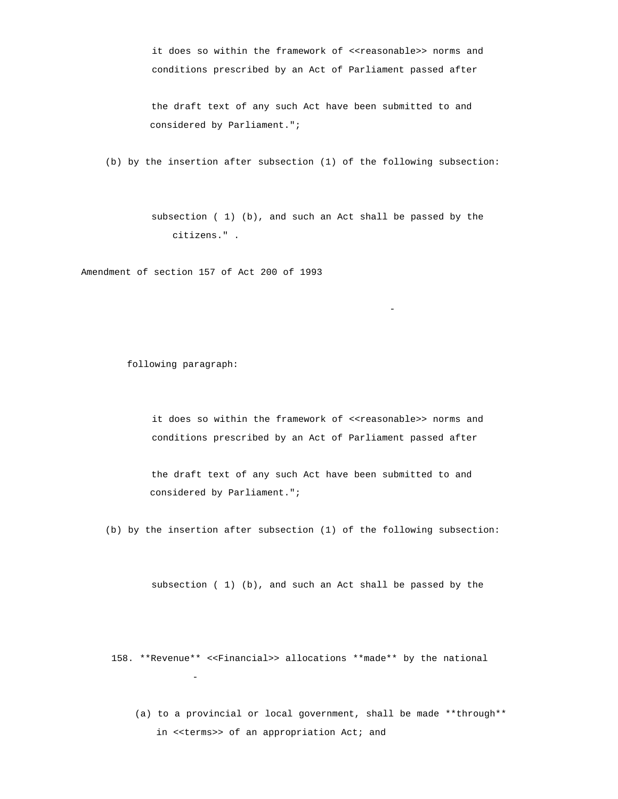it does so within the framework of <<reasonable>> norms and conditions prescribed by an Act of Parliament passed after

 the draft text of any such Act have been submitted to and considered by Parliament.";

(b) by the insertion after subsection (1) of the following subsection:

 subsection ( 1) (b), and such an Act shall be passed by the citizens." .

-

Amendment of section 157 of Act 200 of 1993

following paragraph:

it does so within the framework of <<reasonable>> norms and conditions prescribed by an Act of Parliament passed after

 the draft text of any such Act have been submitted to and considered by Parliament.";

(b) by the insertion after subsection (1) of the following subsection:

subsection ( 1) (b), and such an Act shall be passed by the

 158. \*\*Revenue\*\* <<Financial>> allocations \*\*made\*\* by the national -

 (a) to a provincial or local government, shall be made \*\*through\*\* in <<terms>> of an appropriation Act; and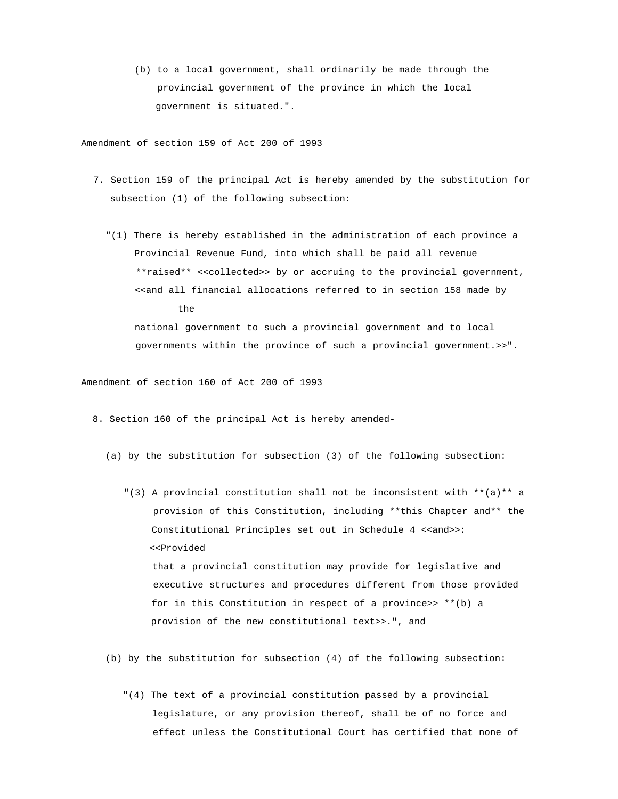(b) to a local government, shall ordinarily be made through the provincial government of the province in which the local government is situated.".

Amendment of section 159 of Act 200 of 1993

- 7. Section 159 of the principal Act is hereby amended by the substitution for subsection (1) of the following subsection:
	- "(1) There is hereby established in the administration of each province a Provincial Revenue Fund, into which shall be paid all revenue \*\*raised\*\* <<collected>> by or accruing to the provincial government, <<and all financial allocations referred to in section 158 made by the national government to such a provincial government and to local governments within the province of such a provincial government.>>".

Amendment of section 160 of Act 200 of 1993

- 8. Section 160 of the principal Act is hereby amended-
	- (a) by the substitution for subsection (3) of the following subsection:
		- "(3) A provincial constitution shall not be inconsistent with  $**$ (a)\*\* a provision of this Constitution, including \*\*this Chapter and\*\* the Constitutional Principles set out in Schedule 4 <<and>>: <<Provided that a provincial constitution may provide for legislative and executive structures and procedures different from those provided for in this Constitution in respect of a province>> \*\*(b) a provision of the new constitutional text>>.", and
	- (b) by the substitution for subsection (4) of the following subsection:
		- "(4) The text of a provincial constitution passed by a provincial legislature, or any provision thereof, shall be of no force and effect unless the Constitutional Court has certified that none of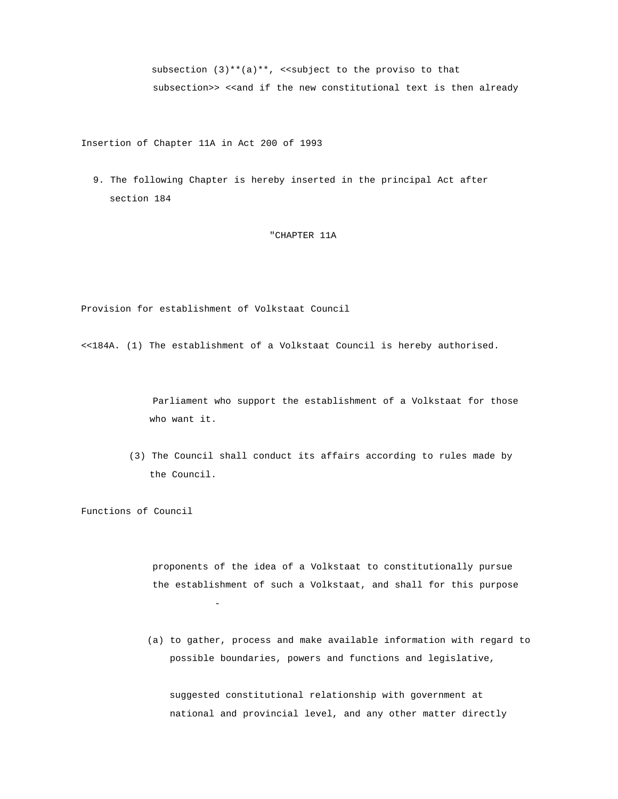subsection  $(3)$ \*\* $(a)$ \*\*, <<subject to the proviso to that subsection>> <<and if the new constitutional text is then already

Insertion of Chapter 11A in Act 200 of 1993

 9. The following Chapter is hereby inserted in the principal Act after section 184

# "CHAPTER 11A

Provision for establishment of Volkstaat Council

<<184A. (1) The establishment of a Volkstaat Council is hereby authorised.

 Parliament who support the establishment of a Volkstaat for those who want it.

 (3) The Council shall conduct its affairs according to rules made by the Council.

Functions of Council

 proponents of the idea of a Volkstaat to constitutionally pursue the establishment of such a Volkstaat, and shall for this purpose -

 (a) to gather, process and make available information with regard to possible boundaries, powers and functions and legislative,

 suggested constitutional relationship with government at national and provincial level, and any other matter directly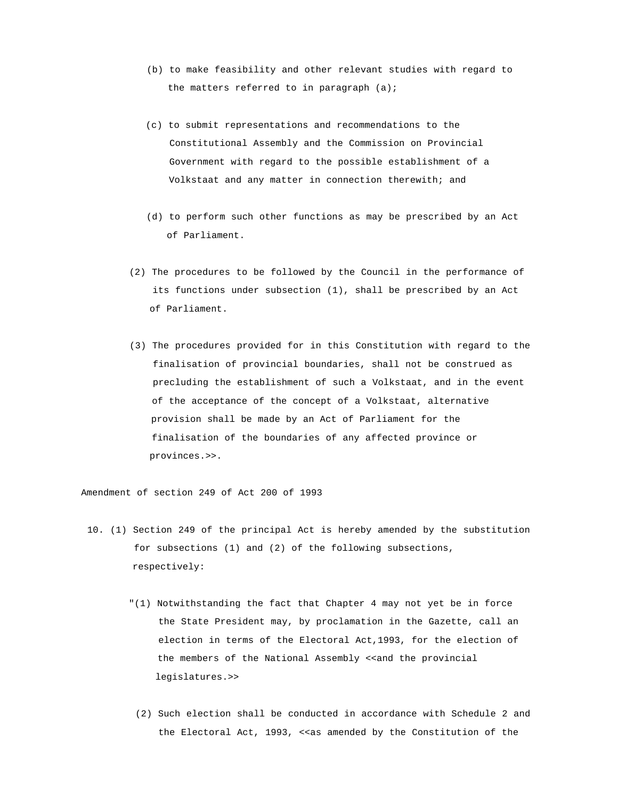- (b) to make feasibility and other relevant studies with regard to the matters referred to in paragraph  $(a)$ ;
- (c) to submit representations and recommendations to the Constitutional Assembly and the Commission on Provincial Government with regard to the possible establishment of a Volkstaat and any matter in connection therewith; and
- (d) to perform such other functions as may be prescribed by an Act of Parliament.
- (2) The procedures to be followed by the Council in the performance of its functions under subsection (1), shall be prescribed by an Act of Parliament.
- (3) The procedures provided for in this Constitution with regard to the finalisation of provincial boundaries, shall not be construed as precluding the establishment of such a Volkstaat, and in the event of the acceptance of the concept of a Volkstaat, alternative provision shall be made by an Act of Parliament for the finalisation of the boundaries of any affected province or provinces.>>.

Amendment of section 249 of Act 200 of 1993

- 10. (1) Section 249 of the principal Act is hereby amended by the substitution for subsections (1) and (2) of the following subsections, respectively:
	- "(1) Notwithstanding the fact that Chapter 4 may not yet be in force the State President may, by proclamation in the Gazette, call an election in terms of the Electoral Act,1993, for the election of the members of the National Assembly <<and the provincial legislatures.>>
	- (2) Such election shall be conducted in accordance with Schedule 2 and the Electoral Act, 1993, <<as amended by the Constitution of the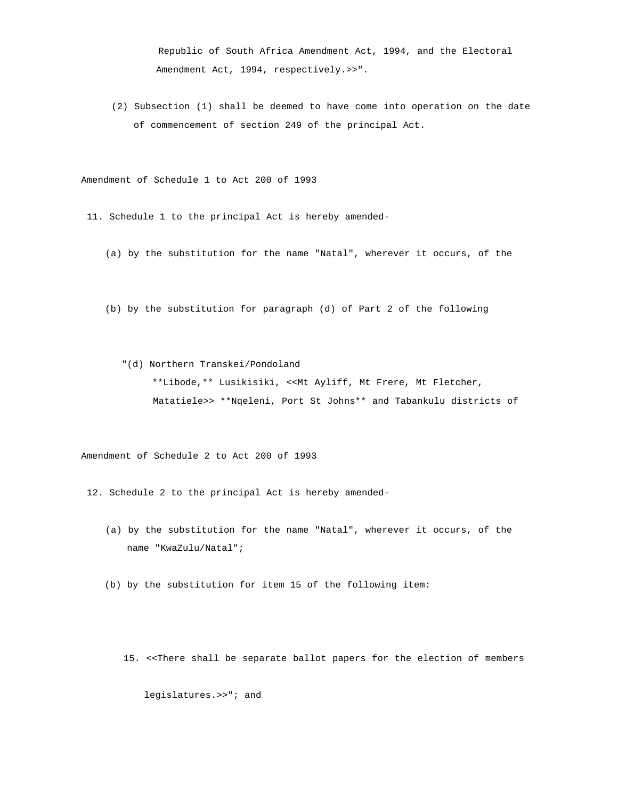Republic of South Africa Amendment Act, 1994, and the Electoral Amendment Act, 1994, respectively.>>".

 (2) Subsection (1) shall be deemed to have come into operation on the date of commencement of section 249 of the principal Act.

Amendment of Schedule 1 to Act 200 of 1993

- 11. Schedule 1 to the principal Act is hereby amended-
	- (a) by the substitution for the name "Natal", wherever it occurs, of the
	- (b) by the substitution for paragraph (d) of Part 2 of the following

 "(d) Northern Transkei/Pondoland \*\*Libode,\*\* Lusikisiki, <<Mt Ayliff, Mt Frere, Mt Fletcher, Matatiele>> \*\*Nqeleni, Port St Johns\*\* and Tabankulu districts of

Amendment of Schedule 2 to Act 200 of 1993

- 12. Schedule 2 to the principal Act is hereby amended-
	- (a) by the substitution for the name "Natal", wherever it occurs, of the name "KwaZulu/Natal";
	- (b) by the substitution for item 15 of the following item:
		- 15. <<There shall be separate ballot papers for the election of members

legislatures.>>"; and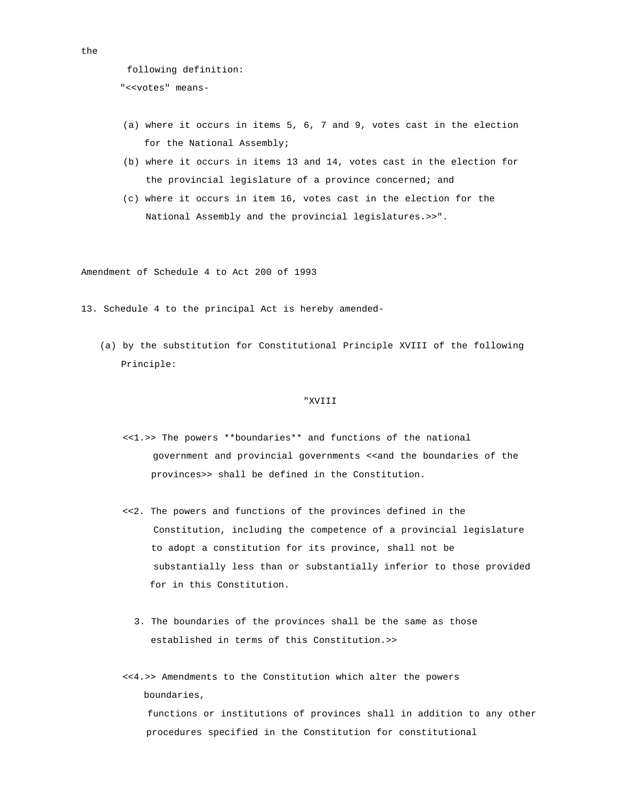```
 following definition:
```

```
"<<votes" means-
```
- (a) where it occurs in items 5, 6, 7 and 9, votes cast in the election for the National Assembly;
- (b) where it occurs in items 13 and 14, votes cast in the election for the provincial legislature of a province concerned; and
- (c) where it occurs in item 16, votes cast in the election for the National Assembly and the provincial legislatures.>>".

Amendment of Schedule 4 to Act 200 of 1993

13. Schedule 4 to the principal Act is hereby amended-

 (a) by the substitution for Constitutional Principle XVIII of the following Principle:

### "XVIII

- <<1.>> The powers \*\*boundaries\*\* and functions of the national government and provincial governments <<and the boundaries of the provinces>> shall be defined in the Constitution.
- <<2. The powers and functions of the provinces defined in the Constitution, including the competence of a provincial legislature to adopt a constitution for its province, shall not be substantially less than or substantially inferior to those provided for in this Constitution.
	- 3. The boundaries of the provinces shall be the same as those established in terms of this Constitution.>>
- <<4.>> Amendments to the Constitution which alter the powers boundaries, functions or institutions of provinces shall in addition to any other procedures specified in the Constitution for constitutional

```
the
```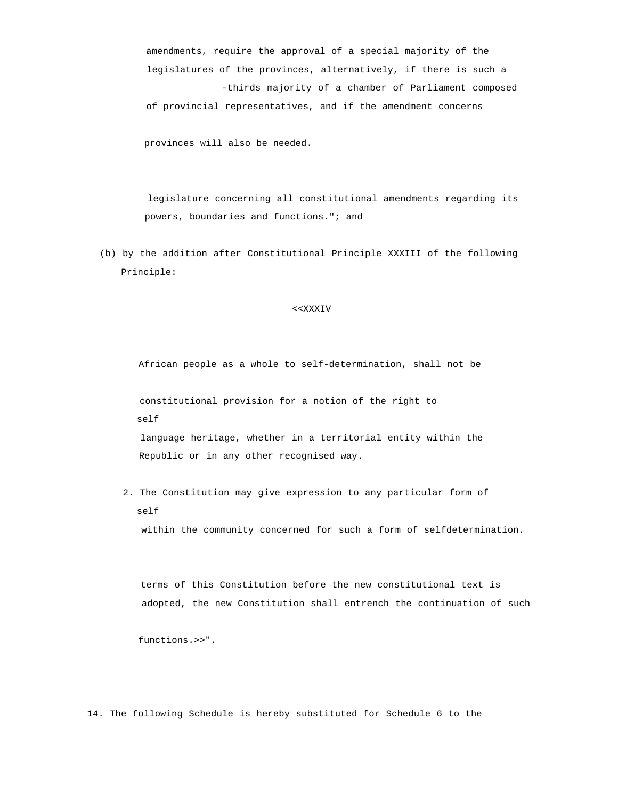amendments, require the approval of a special majority of the legislatures of the provinces, alternatively, if there is such a -thirds majority of a chamber of Parliament composed of provincial representatives, and if the amendment concerns

provinces will also be needed.

 legislature concerning all constitutional amendments regarding its powers, boundaries and functions."; and

 (b) by the addition after Constitutional Principle XXXIII of the following Principle:

### <<XXXIV

African people as a whole to self-determination, shall not be

 constitutional provision for a notion of the right to self

 language heritage, whether in a territorial entity within the Republic or in any other recognised way.

 2. The Constitution may give expression to any particular form of self within the community concerned for such a form of selfdetermination.

 terms of this Constitution before the new constitutional text is adopted, the new Constitution shall entrench the continuation of such

functions.>>".

14. The following Schedule is hereby substituted for Schedule 6 to the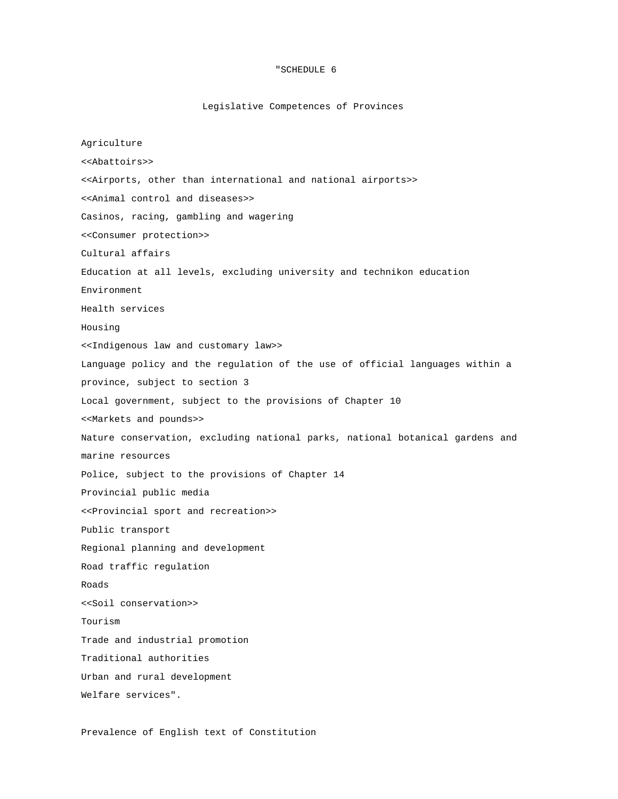## "SCHEDULE 6

# Legislative Competences of Provinces

Agriculture <<Abattoirs>> <<Airports, other than international and national airports>> <<Animal control and diseases>> Casinos, racing, gambling and wagering <<Consumer protection>> Cultural affairs Education at all levels, excluding university and technikon education Environment Health services Housing <<Indigenous law and customary law>> Language policy and the regulation of the use of official languages within a province, subject to section 3 Local government, subject to the provisions of Chapter 10 <<Markets and pounds>> Nature conservation, excluding national parks, national botanical gardens and marine resources Police, subject to the provisions of Chapter 14 Provincial public media <<Provincial sport and recreation>> Public transport Regional planning and development Road traffic regulation Roads <<Soil conservation>> Tourism Trade and industrial promotion Traditional authorities Urban and rural development Welfare services".

Prevalence of English text of Constitution